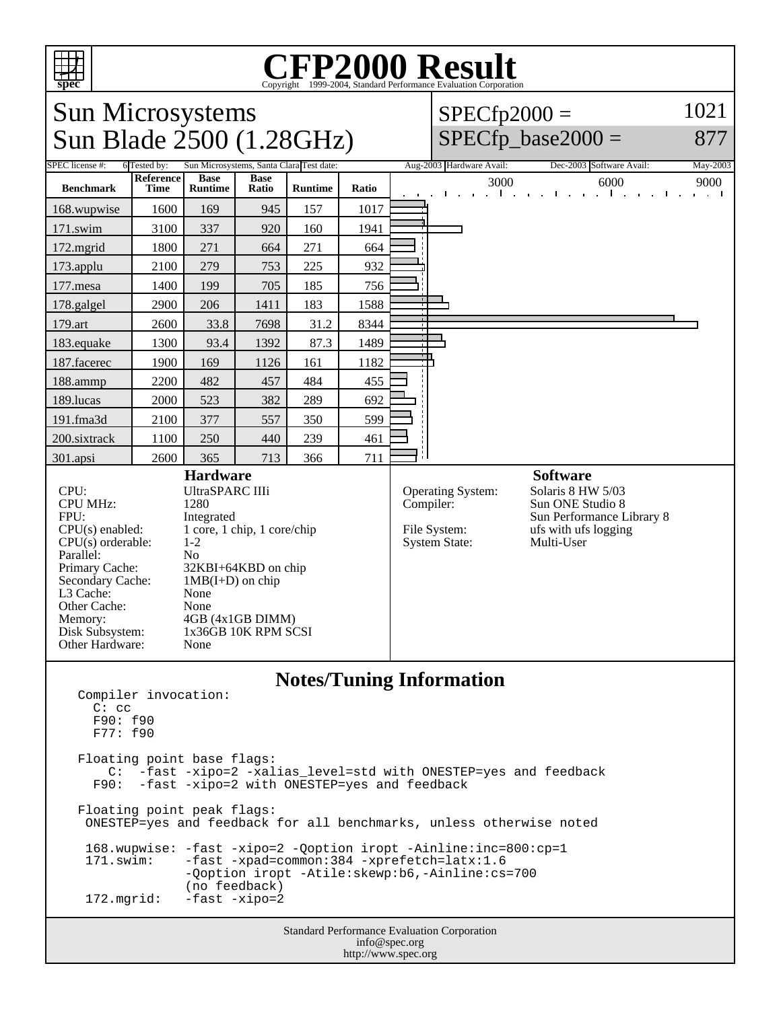

## Copyright ©1999-2004, Standard Performance Evaluation Corporation

Sun Microsystems  $\frac{\text{Sun }R}{\text{1ade}}$  2500 (1.28GHz)

## $SPECfp2000 =$  $SPECfp\_base2000 =$ 1021

877

| $D$ ull Diaut $2JUV$ (1.200112)                                                                                                                                                                                                                                                                                                                                                                                                          |                                 |                               |                      |                                                                                |           |                                                                  |                          |                                                                                                                             | $\mathsf{u}_1 \mathsf{u}_2 \mathsf{u}_1$ $\mathsf{u}_2 \mathsf{u}_3$                                                                 |                                                |
|------------------------------------------------------------------------------------------------------------------------------------------------------------------------------------------------------------------------------------------------------------------------------------------------------------------------------------------------------------------------------------------------------------------------------------------|---------------------------------|-------------------------------|----------------------|--------------------------------------------------------------------------------|-----------|------------------------------------------------------------------|--------------------------|-----------------------------------------------------------------------------------------------------------------------------|--------------------------------------------------------------------------------------------------------------------------------------|------------------------------------------------|
| SPEC license #:<br>Sun Microsystems, Santa Clara Test date:<br>6 Tested by:                                                                                                                                                                                                                                                                                                                                                              |                                 |                               |                      |                                                                                |           |                                                                  | Aug-2003 Hardware Avail: |                                                                                                                             | Dec-2003 Software Avail:                                                                                                             | May-2003                                       |
| <b>Benchmark</b>                                                                                                                                                                                                                                                                                                                                                                                                                         | <b>Reference</b><br><b>Time</b> | <b>Base</b><br><b>Runtime</b> | <b>Base</b><br>Ratio | <b>Runtime</b>                                                                 | Ratio     |                                                                  |                          | 3000<br>$1 - 1 - 1$                                                                                                         | 6000<br>The control of<br>and the company of                                                                                         | 9000<br>$\mathbf{r} = \mathbf{r} + \mathbf{r}$ |
| 168.wupwise                                                                                                                                                                                                                                                                                                                                                                                                                              | 1600                            | 169                           | 945                  | 157                                                                            | 1017      |                                                                  |                          |                                                                                                                             |                                                                                                                                      |                                                |
| 171.swim                                                                                                                                                                                                                                                                                                                                                                                                                                 | 3100                            | 337                           | 920                  | 160                                                                            | 1941      |                                                                  |                          |                                                                                                                             |                                                                                                                                      |                                                |
| 172.mgrid                                                                                                                                                                                                                                                                                                                                                                                                                                | 1800                            | 271                           | 664                  | 271                                                                            | 664       |                                                                  |                          |                                                                                                                             |                                                                                                                                      |                                                |
| 173.applu                                                                                                                                                                                                                                                                                                                                                                                                                                | 2100                            | 279                           | 753                  | 225                                                                            | 932       |                                                                  |                          |                                                                                                                             |                                                                                                                                      |                                                |
| 177.mesa                                                                                                                                                                                                                                                                                                                                                                                                                                 | 1400                            | 199                           | 705                  | 185                                                                            | 756       |                                                                  |                          |                                                                                                                             |                                                                                                                                      |                                                |
| 178.galgel                                                                                                                                                                                                                                                                                                                                                                                                                               | 2900                            | 206                           | 1411                 | 183                                                                            | 1588      |                                                                  |                          |                                                                                                                             |                                                                                                                                      |                                                |
| 179.art                                                                                                                                                                                                                                                                                                                                                                                                                                  | 2600                            | 33.8                          | 7698                 | 31.2                                                                           | 8344      |                                                                  |                          |                                                                                                                             |                                                                                                                                      |                                                |
| 183.equake                                                                                                                                                                                                                                                                                                                                                                                                                               | 1300                            | 93.4                          | 1392                 | 87.3                                                                           | 1489      |                                                                  |                          |                                                                                                                             |                                                                                                                                      |                                                |
| 187.facerec                                                                                                                                                                                                                                                                                                                                                                                                                              | 1900                            | 169                           | 1126                 | 161                                                                            | 1182      |                                                                  |                          |                                                                                                                             |                                                                                                                                      |                                                |
| 188.ammp                                                                                                                                                                                                                                                                                                                                                                                                                                 | 2200                            | 482                           | 457                  | 484                                                                            | 455       |                                                                  |                          |                                                                                                                             |                                                                                                                                      |                                                |
| 189.lucas                                                                                                                                                                                                                                                                                                                                                                                                                                | 2000                            | 523                           | 382                  | 289                                                                            | 692       |                                                                  |                          |                                                                                                                             |                                                                                                                                      |                                                |
| 191.fma3d                                                                                                                                                                                                                                                                                                                                                                                                                                | 2100                            | 377                           | 557                  | 350                                                                            | 599       |                                                                  |                          |                                                                                                                             |                                                                                                                                      |                                                |
| 200.sixtrack                                                                                                                                                                                                                                                                                                                                                                                                                             | 1100                            | 250                           | 440                  | 239                                                                            | 461       |                                                                  |                          |                                                                                                                             |                                                                                                                                      |                                                |
| 301.apsi                                                                                                                                                                                                                                                                                                                                                                                                                                 | 2600                            | 365                           | 713                  | 366                                                                            | 711       | : 1                                                              |                          |                                                                                                                             |                                                                                                                                      |                                                |
| <b>Hardware</b><br>UltraSPARC IIIi<br>CPU:<br><b>CPU MHz:</b><br>1280<br>FPU:<br>Integrated<br>1 core, 1 chip, 1 core/chip<br>$CPU(s)$ enabled:<br>$CPU(s)$ orderable:<br>$1 - 2$<br>Parallel:<br>No<br>Primary Cache:<br>32KBI+64KBD on chip<br>Secondary Cache:<br>$1MB(I+D)$ on chip<br>None<br>L3 Cache:<br>Other Cache:<br>None<br>Memory:<br>4GB (4x1GB DIMM)<br>Disk Subsystem:<br>1x36GB 10K RPM SCSI<br>Other Hardware:<br>None |                                 |                               |                      |                                                                                | Compiler: | <b>Operating System:</b><br>File System:<br><b>System State:</b> |                          | <b>Software</b><br>Solaris 8 HW 5/03<br>Sun ONE Studio 8<br>Sun Performance Library 8<br>ufs with ufs logging<br>Multi-User |                                                                                                                                      |                                                |
| Compiler invocation:<br>$C:$ $CC$<br>F90: f90<br>F77: f90<br>Floating point base flags:<br>C:<br>F90:<br>Floating point peak flags:                                                                                                                                                                                                                                                                                                      |                                 |                               |                      | <b>Notes/Tuning Information</b><br>-fast -xipo=2 with ONESTEP=yes and feedback |           |                                                                  |                          |                                                                                                                             | -fast -xipo=2 -xalias_level=std with ONESTEP=yes and feedback<br>ONESTEP=yes and feedback for all benchmarks, unless otherwise noted |                                                |

 168.wupwise: -fast -xipo=2 -Qoption iropt -Ainline:inc=800:cp=1 171.swim: -fast -xpad=common:384 -xprefetch=latx:1.6 -Qoption iropt -Atile:skewp:b6,-Ainline:cs=700 (no feedback)<br>172.mgrid: -fast -xipo=2 -fast -xipo=2

> Standard Performance Evaluation Corporation info@spec.org http://www.spec.org